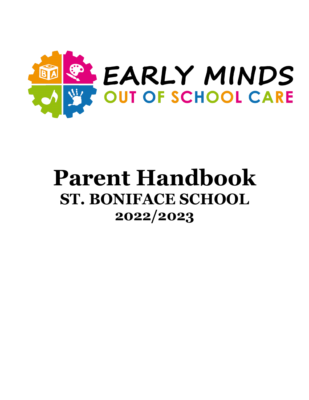

# **Parent Handbook ST. BONIFACE SCHOOL 2022/2023**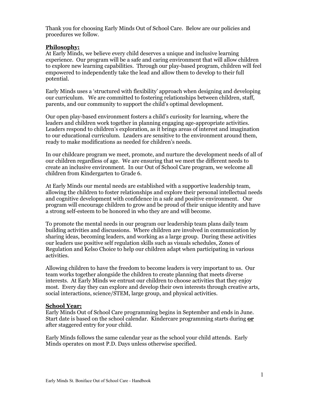Thank you for choosing Early Minds Out of School Care. Below are our policies and procedures we follow.

#### **Philosophy:**

At Early Minds, we believe every child deserves a unique and inclusive learning experience. Our program will be a safe and caring environment that will allow children to explore new learning capabilities. Through our play-based program, children will feel empowered to independently take the lead and allow them to develop to their full potential.

Early Minds uses a 'structured with flexibility' approach when designing and developing our curriculum. We are committed to fostering relationships between children, staff, parents, and our community to support the child's optimal development.

Our open play-based environment fosters a child's curiosity for learning, where the leaders and children work together in planning engaging age-appropriate activities. Leaders respond to children's exploration, as it brings areas of interest and imagination to our educational curriculum. Leaders are sensitive to the environment around them, ready to make modifications as needed for children's needs.

In our childcare program we meet, promote, and nurture the development needs of all of our children regardless of age. We are ensuring that we meet the different needs to create an inclusive environment. In our Out of School Care program, we welcome all children from Kindergarten to Grade 6.

At Early Minds our mental needs are established with a supportive leadership team, allowing the children to foster relationships and explore their personal intellectual needs and cognitive development with confidence in a safe and positive environment. Our program will encourage children to grow and be proud of their unique identity and have a strong self-esteem to be honored in who they are and will become.

To promote the mental needs in our program our leadership team plans daily team building activities and discussions. Where children are involved in communication by sharing ideas, becoming leaders, and working as a large group. During these activities our leaders use positive self regulation skills such as visuals schedules, Zones of Regulation and Kelso Choice to help our children adapt when participating in various activities.

Allowing children to have the freedom to become leaders is very important to us. Our team works together alongside the children to create planning that meets diverse interests. At Early Minds we entrust our children to choose activities that they enjoy most. Every day they can explore and develop their own interests through creative arts, social interactions, science/STEM, large group, and physical activities.

#### **School Year:**

Early Minds Out of School Care programming begins in September and ends in June. Start date is based on the school calendar. Kindercare programming starts during **or** after staggered entry for your child.

Early Minds follows the same calendar year as the school your child attends. Early Minds operates on most P.D. Days unless otherwise specified.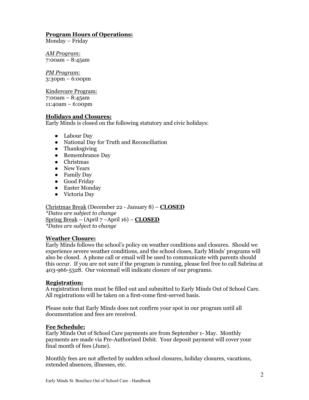## **Program Hours of Operations:**

Monday – Friday

*AM Program:* 7:00am – 8:45am

*PM Program:* 3:30pm – 6:00pm

Kindercare Program: 7:00am – 8:45am 11:40am – 6:00pm

#### **Holidays and Closures:**

Early Minds is closed on the following statutory and civic holidays:

- Labour Day
- National Day for Truth and Reconciliation
- Thanksgiving
- Remembrance Day
- Christmas
- New Years
- Family Day
- Good Friday
- Easter Monday
- Victoria Day

Christmas Break (December 22 - January 8) – **CLOSED** *\*Dates are subject to change* Spring Break – (April 7 –April 16) – **CLOSED** *\*Dates are subject to change*

#### **Weather Closure:**

Early Minds follows the school's policy on weather conditions and closures. Should we experience severe weather conditions, and the school closes, Early Minds' programs will also be closed. A phone call or email will be used to communicate with parents should this occur. If you are not sure if the program is running, please feel free to call Sabrina at 403-966-5328. Our voicemail will indicate closure of our programs.

#### **Registration:**

A registration form must be filled out and submitted to Early Minds Out of School Care. All registrations will be taken on a first-come first-served basis.

Please note that Early Minds does not confirm your spot in our program until all documentation and fees are received.

#### **Fee Schedule:**

Early Minds Out of School Care payments are from September 1- May. Monthly payments are made via Pre-Authorized Debit. Your deposit payment will cover your final month of fees (June).

Monthly fees are not affected by sudden school closures, holiday closures, vacations, extended absences, illnesses, etc.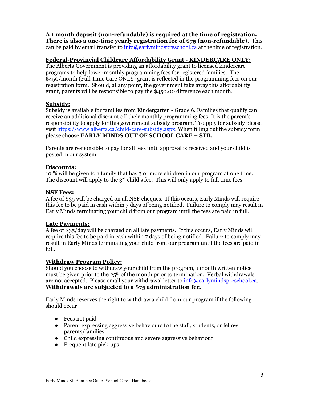## **A 1 month deposit (non-refundable) is required at the time of registration.**

**There is also a one-time yearly registration fee of \$75 (non-refundable).** This can be paid by email transfer to  $\frac{info@earlymindspreschool.ca}{info@carlymindspreschool.ca}$  at the time of registration.

## **Federal-Provincial Childcare Affordability Grant - KINDERCARE ONLY:**

The Alberta Government is providing an affordability grant to licensed kindercare programs to help lower monthly programming fees for registered families. The \$450/month (Full Time Care ONLY) grant is reflected in the programming fees on our registration form. Should, at any point, the government take away this affordability grant, parents will be responsible to pay the \$450.00 difference each month.

## **Subsidy:**

Subsidy is available for families from Kindergarten - Grade 6. Families that qualify can receive an additional discount off their monthly programming fees. It is the parent's responsibility to apply for this government subsidy program. To apply for subsidy please visit https://www.alberta.ca/child-care-subsidy.aspx. When filling out the subsidy form please choose **EARLY MINDS OUT OF SCHOOL CARE – STB.**

Parents are responsible to pay for all fees until approval is received and your child is posted in our system.

## **Discounts:**

10 % will be given to a family that has 3 or more children in our program at one time. The discount will apply to the  $3<sup>rd</sup>$  child's fee. This will only apply to full time fees.

#### **NSF Fees:**

A fee of \$35 will be charged on all NSF cheques. If this occurs, Early Minds will require this fee to be paid in cash within 7 days of being notified. Failure to comply may result in Early Minds terminating your child from our program until the fees are paid in full.

## **Late Payments:**

A fee of \$35/day will be charged on all late payments. If this occurs, Early Minds will require this fee to be paid in cash within  $7$  days of being notified. Failure to comply may result in Early Minds terminating your child from our program until the fees are paid in full.

## **Withdraw Program Policy:**

Should you choose to withdraw your child from the program, 1 month written notice must be given prior to the 25<sup>th</sup> of the month prior to termination. Verbal withdrawals are not accepted. Please email your withdrawal letter to  $\frac{info@earlymindspreschool.ca.}$ **Withdrawals are subjected to a \$75 administration fee.** 

Early Minds reserves the right to withdraw a child from our program if the following should occur:

- Fees not paid
- Parent expressing aggressive behaviours to the staff, students, or fellow parents/families
- Child expressing continuous and severe aggressive behaviour
- Frequent late pick-ups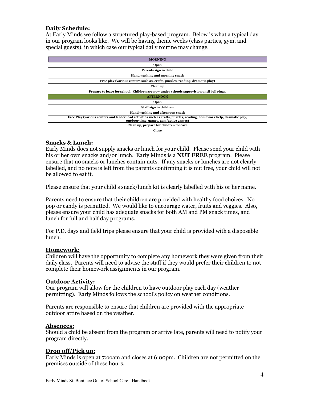### **Daily Schedule:**

At Early Minds we follow a structured play-based program. Below is what a typical day in our program looks like. We will be having theme weeks (class parties, gym, and special guests), in which case our typical daily routine may change.

| <b>MORNING</b>                                                                                                                                                  |
|-----------------------------------------------------------------------------------------------------------------------------------------------------------------|
| <b>Open</b>                                                                                                                                                     |
| Parents sign in child                                                                                                                                           |
| Hand washing and morning snack                                                                                                                                  |
| Free play (various centers such as, crafts, puzzles, reading, dramatic play)                                                                                    |
| Clean up                                                                                                                                                        |
| Prepare to leave for school. Children are now under schools supervision until bell rings.                                                                       |
| <b>AFTERNOON</b>                                                                                                                                                |
| Open                                                                                                                                                            |
|                                                                                                                                                                 |
| Staff sign in children                                                                                                                                          |
| Hand washing and afternoon snack                                                                                                                                |
| Free Play (various centers and leader lead activities such as crafts, puzzles, reading, homework help, dramatic play,<br>outdoor time, games, gym/active games) |
| Clean up, prepare for children to leave                                                                                                                         |

#### **Snacks & Lunch:**

Early Minds does not supply snacks or lunch for your child. Please send your child with his or her own snacks and/or lunch. Early Minds is a **NUT FREE** program. Please ensure that no snacks or lunches contain nuts. If any snacks or lunches are not clearly labelled, and no note is left from the parents confirming it is nut free, your child will not be allowed to eat it.

Please ensure that your child's snack/lunch kit is clearly labelled with his or her name.

Parents need to ensure that their children are provided with healthy food choices. No pop or candy is permitted. We would like to encourage water, fruits and veggies. Also, please ensure your child has adequate snacks for both AM and PM snack times, and lunch for full and half day programs.

For P.D. days and field trips please ensure that your child is provided with a disposable lunch.

## **Homework:**

Children will have the opportunity to complete any homework they were given from their daily class. Parents will need to advise the staff if they would prefer their children to not complete their homework assignments in our program.

#### **Outdoor Activity:**

Our program will allow for the children to have outdoor play each day (weather permitting). Early Minds follows the school's policy on weather conditions.

Parents are responsible to ensure that children are provided with the appropriate outdoor attire based on the weather.

#### **Absences:**

Should a child be absent from the program or arrive late, parents will need to notify your program directly.

#### **Drop off/Pick up:**

Early Minds is open at 7:ooam and closes at 6:00pm. Children are not permitted on the premises outside of these hours.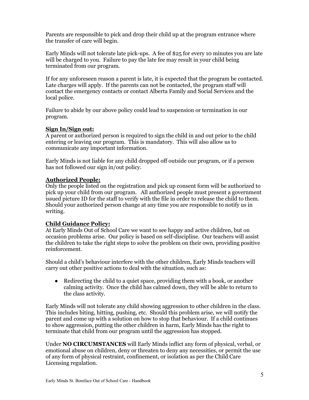Parents are responsible to pick and drop their child up at the program entrance where the transfer of care will begin.

Early Minds will not tolerate late pick-ups. A fee of \$25 for every 10 minutes you are late will be charged to you. Failure to pay the late fee may result in your child being terminated from our program.

If for any unforeseen reason a parent is late, it is expected that the program be contacted. Late charges will apply. If the parents can not be contacted, the program staff will contact the emergency contacts or contact Alberta Family and Social Services and the local police.

Failure to abide by our above policy could lead to suspension or termination in our program.

## **Sign In/Sign out:**

A parent or authorized person is required to sign the child in and out prior to the child entering or leaving our program. This is mandatory. This will also allow us to communicate any important information.

Early Minds is not liable for any child dropped off outside our program, or if a person has not followed our sign in/out policy.

## **Authorized People:**

Only the people listed on the registration and pick up consent form will be authorized to pick up your child from our program. All authorized people must present a government issued picture ID for the staff to verify with the file in order to release the child to them. Should your authorized person change at any time you are responsible to notify us in writing.

## **Child Guidance Policy:**

At Early Minds Out of School Care we want to see happy and active children, but on occasion problems arise. Our policy is based on self-discipline. Our teachers will assist the children to take the right steps to solve the problem on their own, providing positive reinforcement.

Should a child's behaviour interfere with the other children, Early Minds teachers will carry out other positive actions to deal with the situation, such as:

• Redirecting the child to a quiet space, providing them with a book, or another calming activity. Once the child has calmed down, they will be able to return to the class activity.

Early Minds will not tolerate any child showing aggression to other children in the class. This includes biting, hitting, pushing, etc. Should this problem arise, we will notify the parent and come up with a solution on how to stop that behaviour. If a child continues to show aggression, putting the other children in harm, Early Minds has the right to terminate that child from our program until the aggression has stopped.

Under **NO CIRCUMSTANCES** will Early Minds inflict any form of physical, verbal, or emotional abuse on children, deny or threaten to deny any necessities, or permit the use of any form of physical restraint, confinement, or isolation as per the Child Care Licensing regulation.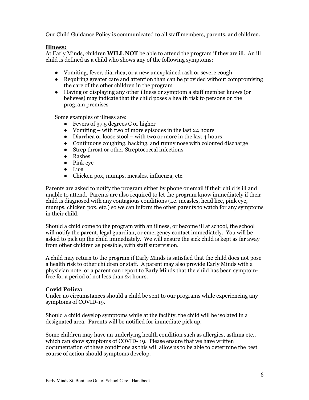Our Child Guidance Policy is communicated to all staff members, parents, and children.

## **Illness:**

At Early Minds, children **WILL NOT** be able to attend the program if they are ill. An ill child is defined as a child who shows any of the following symptoms:

- Vomiting, fever, diarrhea, or a new unexplained rash or severe cough
- Requiring greater care and attention than can be provided without compromising the care of the other children in the program
- Having or displaying any other illness or symptom a staff member knows (or believes) may indicate that the child poses a health risk to persons on the program premises

Some examples of illness are:

- Fevers of 37.5 degrees C or higher
- Vomiting with two of more episodes in the last  $24$  hours
- $\bullet$  Diarrhea or loose stool with two or more in the last 4 hours
- Continuous coughing, hacking, and runny nose with coloured discharge
- Strep throat or other Streptococcal infections
- Rashes
- Pink eye
- Lice
- Chicken pox, mumps, measles, influenza, etc.

Parents are asked to notify the program either by phone or email if their child is ill and unable to attend. Parents are also required to let the program know immediately if their child is diagnosed with any contagious conditions (i.e. measles, head lice, pink eye, mumps, chicken pox, etc.) so we can inform the other parents to watch for any symptoms in their child.

Should a child come to the program with an illness, or become ill at school, the school will notify the parent, legal guardian, or emergency contact immediately. You will be asked to pick up the child immediately. We will ensure the sick child is kept as far away from other children as possible, with staff supervision.

A child may return to the program if Early Minds is satisfied that the child does not pose a health risk to other children or staff. A parent may also provide Early Minds with a physician note, or a parent can report to Early Minds that the child has been symptomfree for a period of not less than 24 hours.

## **Covid Policy:**

Under no circumstances should a child be sent to our programs while experiencing any symptoms of COVID-19.

Should a child develop symptoms while at the facility, the child will be isolated in a designated area. Parents will be notified for immediate pick up.

Some children may have an underlying health condition such as allergies, asthma etc., which can show symptoms of COVID- 19. Please ensure that we have written documentation of these conditions as this will allow us to be able to determine the best course of action should symptoms develop.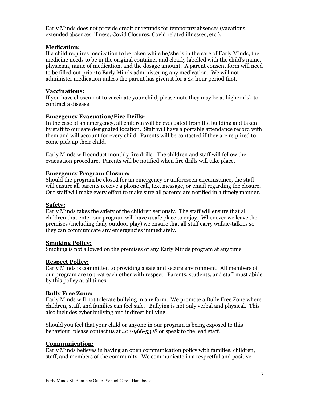Early Minds does not provide credit or refunds for temporary absences (vacations, extended absences, illness, Covid Closures, Covid related illnesses, etc.).

#### **Medication:**

If a child requires medication to be taken while he/she is in the care of Early Minds, the medicine needs to be in the original container and clearly labelled with the child's name, physician, name of medication, and the dosage amount. A parent consent form will need to be filled out prior to Early Minds administering any medication. We will not administer medication unless the parent has given it for a 24 hour period first.

#### **Vaccinations:**

If you have chosen not to vaccinate your child, please note they may be at higher risk to contract a disease.

#### **Emergency Evacuation/Fire Drills:**

In the case of an emergency, all children will be evacuated from the building and taken by staff to our safe designated location. Staff will have a portable attendance record with them and will account for every child. Parents will be contacted if they are required to come pick up their child.

Early Minds will conduct monthly fire drills. The children and staff will follow the evacuation procedure. Parents will be notified when fire drills will take place.

#### **Emergency Program Closure:**

Should the program be closed for an emergency or unforeseen circumstance, the staff will ensure all parents receive a phone call, text message, or email regarding the closure. Our staff will make every effort to make sure all parents are notified in a timely manner.

#### **Safety:**

Early Minds takes the safety of the children seriously. The staff will ensure that all children that enter our program will have a safe place to enjoy. Whenever we leave the premises (including daily outdoor play) we ensure that all staff carry walkie-talkies so they can communicate any emergencies immediately.

#### **Smoking Policy:**

Smoking is not allowed on the premises of any Early Minds program at any time

#### **Respect Policy:**

Early Minds is committed to providing a safe and secure environment. All members of our program are to treat each other with respect. Parents, students, and staff must abide by this policy at all times.

#### **Bully Free Zone:**

Early Minds will not tolerate bullying in any form. We promote a Bully Free Zone where children, staff, and families can feel safe. Bullying is not only verbal and physical. This also includes cyber bullying and indirect bullying.

Should you feel that your child or anyone in our program is being exposed to this behaviour, please contact us at 403-966-5328 or speak to the lead staff.

#### **Communication:**

Early Minds believes in having an open communication policy with families, children, staff, and members of the community. We communicate in a respectful and positive